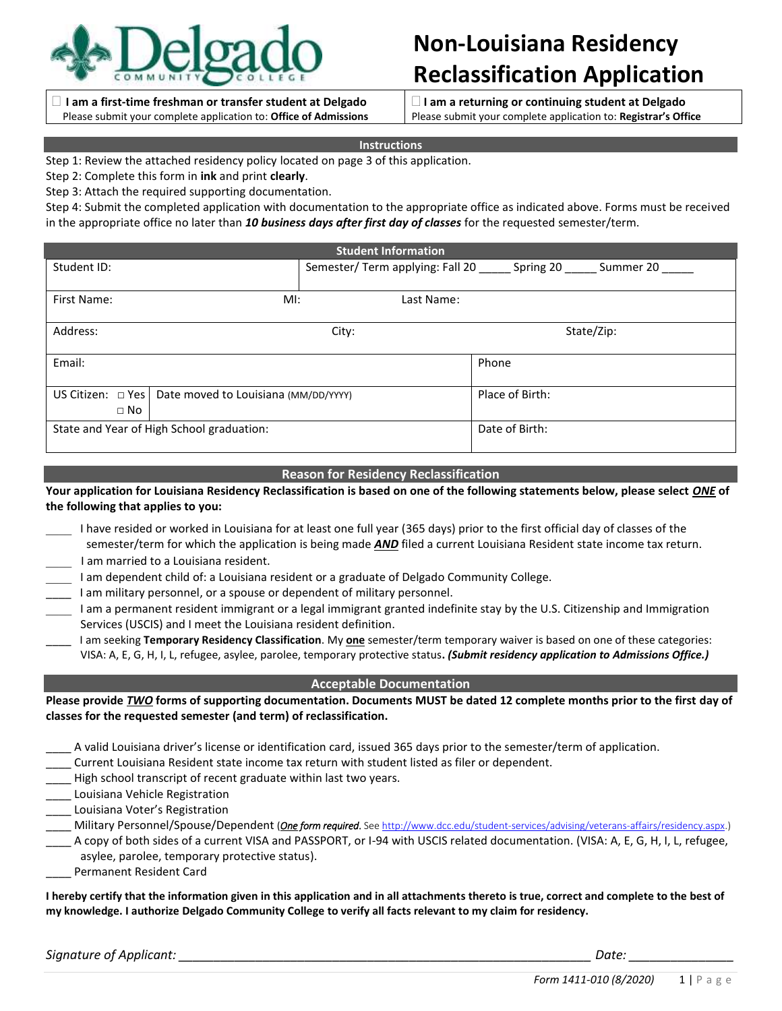

### **I am a first-time freshman or transfer student at Delgado**  Please submit your complete application to: **Office of Admissions**

# **Non-Louisiana Residency Reclassification Application**

 **I am a returning or continuing student at Delgado**  Please submit your complete application to: **Registrar's Office**

### **Instructions**

Step 1: Review the attached residency policy located on page 3 of this application.

Step 2: Complete this form in **ink** and print **clearly**.

Step 3: Attach the required supporting documentation.

Step 4: Submit the completed application with documentation to the appropriate office as indicated above. Forms must be received in the appropriate office no later than *10 business days after first day of classes* for the requested semester/term.

| <b>Student Information</b> |                                                               |            |                                                                      |  |
|----------------------------|---------------------------------------------------------------|------------|----------------------------------------------------------------------|--|
| Student ID:                |                                                               |            | Semester/ Term applying: Fall 20 ______ Spring 20 _____<br>Summer 20 |  |
| First Name:                | $Ml$ :                                                        | Last Name: |                                                                      |  |
| Address:                   |                                                               | City:      | State/Zip:                                                           |  |
| Email:                     |                                                               |            | Phone                                                                |  |
| $\Box$ No                  | US Citizen: $\Box$ Yes   Date moved to Louisiana (MM/DD/YYYY) |            | Place of Birth:                                                      |  |
|                            | State and Year of High School graduation:                     |            | Date of Birth:                                                       |  |

### **Reason for Residency Reclassification**

## **Your application for Louisiana Residency Reclassification is based on one of the following statements below, please select** *ONE* **of the following that applies to you:**

- I have resided or worked in Louisiana for at least one full year (365 days) prior to the first official day of classes of the semester/term for which the application is being made *AND* filed a current Louisiana Resident state income tax return. I am married to a Louisiana resident.
- I am dependent child of: a Louisiana resident or a graduate of Delgado Community College.
- \_\_\_\_ I am military personnel, or a spouse or dependent of military personnel.
- I am a permanent resident immigrant or a legal immigrant granted indefinite stay by the U.S. Citizenship and Immigration Services (USCIS) and I meet the Louisiana resident definition.
- \_\_\_\_ I am seeking **Temporary Residency Classification**. My **one** semester/term temporary waiver is based on one of these categories: VISA: A, E, G, H, I, L, refugee, asylee, parolee, temporary protective status**.** *(Submit residency application to Admissions Office.)*

### **Acceptable Documentation**

**Please provide** *TWO* **forms of supporting documentation. Documents MUST be dated 12 complete months prior to the first day of classes for the requested semester (and term) of reclassification.**

\_\_\_\_ A valid Louisiana driver's license or identification card, issued 365 days prior to the semester/term of application.

- Current Louisiana Resident state income tax return with student listed as filer or dependent.
- High school transcript of recent graduate within last two years.
- Louisiana Vehicle Registration
- Louisiana Voter's Registration
- \_\_\_\_ Military Personnel/Spouse/Dependent (*One form required*. Se[e http://www.dcc.edu/student-services/advising/veterans-affairs/residency.aspx.\)](http://www.dcc.edu/student-services/advising/veterans-affairs/residency.aspx)
- A copy of both sides of a current VISA and PASSPORT, or I-94 with USCIS related documentation. (VISA: A, E, G, H, I, L, refugee, asylee, parolee, temporary protective status).
- Permanent Resident Card

**I hereby certify that the information given in this application and in all attachments thereto is true, correct and complete to the best of my knowledge. I authorize Delgado Community College to verify all facts relevant to my claim for residency.**

*Signature of Applicant: \_\_\_\_\_\_\_\_\_\_\_\_\_\_\_\_\_\_\_\_\_\_\_\_\_\_\_\_\_\_\_\_\_\_\_\_\_\_\_\_\_\_\_\_\_\_\_\_\_\_\_\_\_\_\_\_\_\_\_ Date: \_\_\_\_\_\_\_\_\_\_\_\_\_\_\_*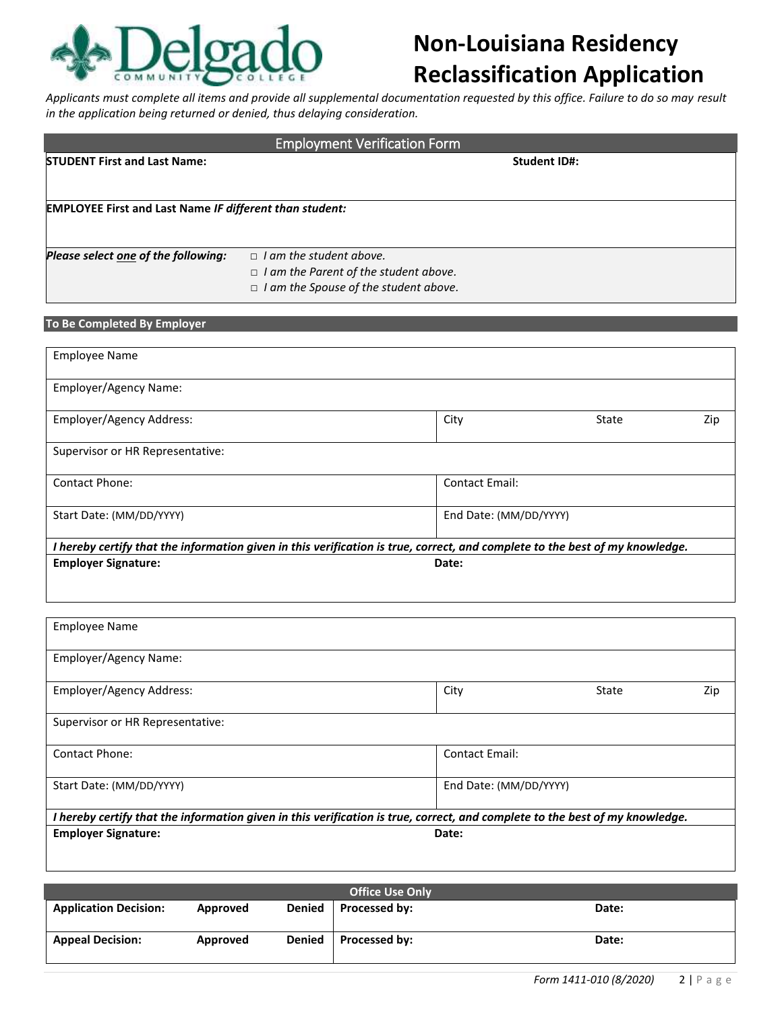

# **Non-Louisiana Residency Reclassification Application**

*Applicants must complete all items and provide all supplemental documentation requested by this office. Failure to do so may result in the application being returned or denied, thus delaying consideration.*

| <b>Employment Verification Form</b>                            |                                              |  |  |  |
|----------------------------------------------------------------|----------------------------------------------|--|--|--|
| <b>STUDENT First and Last Name:</b>                            | <b>Student ID#:</b>                          |  |  |  |
|                                                                |                                              |  |  |  |
| <b>EMPLOYEE First and Last Name IF different than student:</b> |                                              |  |  |  |
| Please select one of the following:                            | $\Box$ I am the student above.               |  |  |  |
|                                                                | $\Box$ I am the Parent of the student above. |  |  |  |
|                                                                | $\Box$ I am the Spouse of the student above. |  |  |  |

| To Be Completed By Employer |  |  |  |  |  |
|-----------------------------|--|--|--|--|--|
|-----------------------------|--|--|--|--|--|

| <b>Employee Name</b>                                                                                                         |                        |       |     |
|------------------------------------------------------------------------------------------------------------------------------|------------------------|-------|-----|
| Employer/Agency Name:                                                                                                        |                        |       |     |
| Employer/Agency Address:                                                                                                     | City                   | State | Zip |
| Supervisor or HR Representative:                                                                                             |                        |       |     |
| <b>Contact Phone:</b>                                                                                                        | <b>Contact Email:</b>  |       |     |
| Start Date: (MM/DD/YYYY)                                                                                                     | End Date: (MM/DD/YYYY) |       |     |
| I hereby certify that the information given in this verification is true, correct, and complete to the best of my knowledge. |                        |       |     |
| <b>Employer Signature:</b>                                                                                                   | Date:                  |       |     |

| <b>Employee Name</b>                                                                                                         |                        |       |     |
|------------------------------------------------------------------------------------------------------------------------------|------------------------|-------|-----|
| <b>Employer/Agency Name:</b>                                                                                                 |                        |       |     |
| Employer/Agency Address:                                                                                                     | City                   | State | Zip |
| Supervisor or HR Representative:                                                                                             |                        |       |     |
| <b>Contact Phone:</b>                                                                                                        | <b>Contact Email:</b>  |       |     |
| Start Date: (MM/DD/YYYY)                                                                                                     | End Date: (MM/DD/YYYY) |       |     |
| I hereby certify that the information given in this verification is true, correct, and complete to the best of my knowledge. |                        |       |     |
| <b>Employer Signature:</b>                                                                                                   | Date:                  |       |     |

| <b>Office Use Only</b>       |          |               |                      |       |
|------------------------------|----------|---------------|----------------------|-------|
| <b>Application Decision:</b> | Approved | Denied        | Processed by:        | Date: |
| <b>Appeal Decision:</b>      | Approved | <b>Denied</b> | <b>Processed by:</b> | Date: |